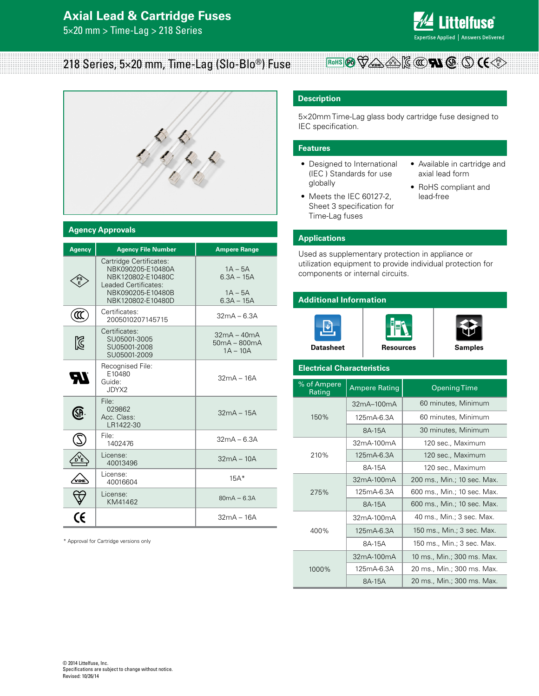## **Axial Lead & Cartridge Fuses**

5×20 mm > Time-Lag > 218 Series



#### **RoHS** (Pb)  $\bigvee$  (pb)  $\bigotimes$  (pe)  $\bigotimes$  (C(((() **FA** (SP ()) (E 218 Series, 5×20 mm, Time-Lag (Slo-Blo®) Fuse



#### **Agency Approvals**

| <b>Agency</b> | <b>Agency File Number</b>                                                                                                           | <b>Ampere Range</b>                                    |
|---------------|-------------------------------------------------------------------------------------------------------------------------------------|--------------------------------------------------------|
|               | Cartridge Certificates:<br>NBK090205-E10480A<br>NBK120802-E10480C<br>Leaded Certificates:<br>NBK090205-E10480B<br>NBK120802-E10480D | $1A - 5A$<br>$6.3A - 15A$<br>$1A - 5A$<br>$6.3A - 15A$ |
| ແ             | Certificates:<br>2005010207145715                                                                                                   | $32mA - 6.3A$                                          |
| Ñ             | Certificates:<br>SU05001-3005<br>SU05001-2008<br>SU05001-2009                                                                       | $32mA - 40mA$<br>50mA - 800mA<br>$1A - 10A$            |
| ŖJ            | Recognised File:<br>E10480<br>Guide:<br>JDYX2                                                                                       | $32mA - 16A$                                           |
| <b>SP</b>     | File:<br>029862<br>Acc. Class:<br>I R1422-30                                                                                        | $32mA - 15A$                                           |
|               | File <sup>.</sup><br>1402476                                                                                                        | $32mA - 6.3A$                                          |
|               | License:<br>40013496                                                                                                                | $32mA - 10A$                                           |
| 'DE           | License:<br>40016604                                                                                                                | $15A*$                                                 |
|               | License:<br>KM41462                                                                                                                 | $80mA - 6.3A$                                          |
|               |                                                                                                                                     | $32mA - 16A$                                           |

\* Approval for Cartridge versions only

#### **Description**

5×20mm Time-Lag glass body cartridge fuse designed to IEC specification.

#### **Features**

- Designed to International (IEC ) Standards for use globally
- Meets the IEC 60127-2, Sheet 3 specification for Time-Lag fuses
- • Available in cartridge and axial lead form
- • RoHS compliant and lead-free

#### **Applications**

Used as supplementary protection in appliance or utilization equipment to provide individual protection for components or internal circuits.

#### **Additional Information**







#### **Electrical Characteristics**

| % of Ampere<br>Rating | <b>Ampere Rating</b> | <b>Opening Time</b>         |  |  |  |  |
|-----------------------|----------------------|-----------------------------|--|--|--|--|
|                       | $32mA-100mA$         | 60 minutes, Minimum         |  |  |  |  |
| 150%                  | 125mA-6.3A           | 60 minutes, Minimum         |  |  |  |  |
|                       | 8A-15A               | 30 minutes, Minimum         |  |  |  |  |
|                       | 32mA-100mA           | 120 sec., Maximum           |  |  |  |  |
| 210%                  | 125mA-6.3A           | 120 sec., Maximum           |  |  |  |  |
|                       | 8A-15A               | 120 sec., Maximum           |  |  |  |  |
|                       | $32mA-100mA$         | 200 ms., Min.; 10 sec. Max. |  |  |  |  |
| 275%                  | 125mA-6.3A           | 600 ms., Min.; 10 sec. Max. |  |  |  |  |
|                       | 8A-15A               | 600 ms., Min.; 10 sec. Max. |  |  |  |  |
|                       | 32mA-100mA           | 40 ms., Min.; 3 sec. Max.   |  |  |  |  |
| 400%                  | $125mA-6.3A$         | 150 ms., Min.; 3 sec. Max.  |  |  |  |  |
|                       | 8A-15A               | 150 ms., Min.; 3 sec. Max.  |  |  |  |  |
| 1000%                 | 32mA-100mA           | 10 ms., Min.; 300 ms. Max.  |  |  |  |  |
|                       | 125mA-6.3A           | 20 ms., Min.; 300 ms. Max.  |  |  |  |  |
|                       | 8A-15A               | 20 ms., Min.; 300 ms. Max.  |  |  |  |  |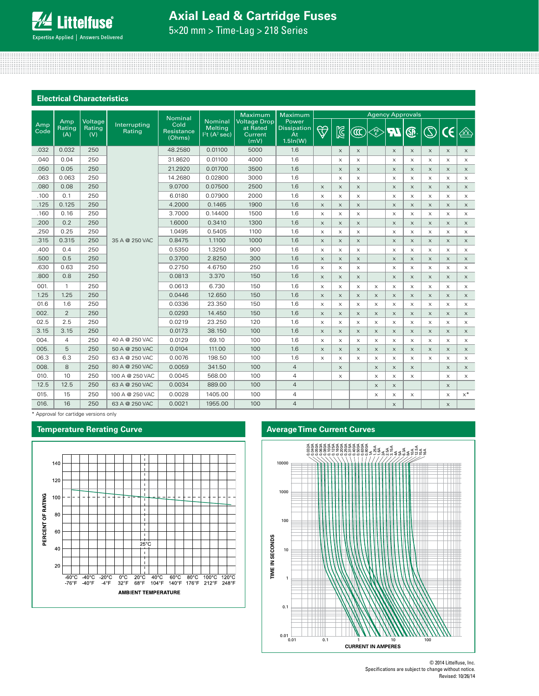# **Axial Lead & Cartridge Fuses**

5×20 mm > Time-Lag > 218 Series

#### **Electrical Characteristics**

|             |                      |                          |                        | Nominal                             |                                                      | Maximum<br>Maximum                                 |                                                         |             | <b>Agency Approvals</b>   |                             |                                                                  |             |                           |                           |                       |                                   |
|-------------|----------------------|--------------------------|------------------------|-------------------------------------|------------------------------------------------------|----------------------------------------------------|---------------------------------------------------------|-------------|---------------------------|-----------------------------|------------------------------------------------------------------|-------------|---------------------------|---------------------------|-----------------------|-----------------------------------|
| Amp<br>Code | Amp<br>Rating<br>(A) | Voltage<br>Rating<br>(V) | Interrupting<br>Rating | Cold<br><b>Resistance</b><br>(Ohms) | <b>Nominal</b><br>Melting<br>12t(A <sup>2</sup> sec) | <b>Voltage Drop</b><br>at Rated<br>Current<br>(mV) | Power<br><b>Dissipation</b><br><b>At</b><br>$1.5\ln(W)$ | $\bigoplus$ | $\boxtimes$               | $\left(\mathfrak{A}\right)$ | $\begin{matrix} \widehat{\mathsf{ps}} \ \mathsf{E} \end{matrix}$ | 77          | ®                         | $\circledS$               | CE                    | $\left(\frac{1}{\sqrt{2}}\right)$ |
| .032        | 0.032                | 250                      |                        | 48.2580                             | 0.01100                                              | 5000                                               | 1.6                                                     |             | $\times$                  | $\times$                    |                                                                  | $\times$    | $\times$                  | $\times$                  | $\times$              | $\times$                          |
| .040        | 0.04                 | 250                      |                        | 31.8620                             | 0.01100                                              | 4000                                               | 1.6                                                     |             | X                         | X                           |                                                                  | $\times$    | $\times$                  | $\times$                  | $\times$              | $\times$                          |
| .050        | 0.05                 | 250                      |                        | 21.2920                             | 0.01700                                              | 3500                                               | 1.6                                                     |             | $\times$                  | $\times$                    |                                                                  | $\times$    | $\times$                  | $\times$                  | $\times$              | $\times$                          |
| .063        | 0.063                | 250                      |                        | 14.2680                             | 0.02800                                              | 3000                                               | 1.6                                                     |             | X                         | $\times$                    |                                                                  | $\times$    | $\times$                  | $\times$                  | $\times$              | $\times$                          |
| .080        | 0.08                 | 250                      |                        | 9.0700                              | 0.07500                                              | 2500                                               | 1.6                                                     | $\times$    | $\times$                  | $\times$                    |                                                                  | $\times$    | $\times$                  | $\times$                  | $\times$              | $\times$                          |
| .100        | 0.1                  | 250                      |                        | 6.0180                              | 0.07900                                              | 2000                                               | 1.6                                                     | X           | X                         | X                           |                                                                  | $\times$    | $\times$                  | $\times$                  | $\times$              | $\times$                          |
| .125        | 0.125                | 250                      |                        | 4.2000                              | 0.1465                                               | 1900                                               | 1.6                                                     | X           | $\boldsymbol{\mathsf{X}}$ | X                           |                                                                  | $\mathsf X$ | $\boldsymbol{\mathsf{X}}$ | $\boldsymbol{\times}$     | $\boldsymbol{\times}$ | $\times$                          |
| .160        | 0.16                 | 250                      |                        | 3.7000                              | 0.14400                                              | 1500                                               | 1.6                                                     | X           | X                         | X                           |                                                                  | X           | X                         | X                         | X                     | $\times$                          |
| .200        | 0.2                  | 250                      |                        | 1.6000                              | 0.3410                                               | 1300                                               | 1.6                                                     | X           | $\boldsymbol{\mathsf{X}}$ | X                           |                                                                  | $\times$    | $\boldsymbol{\mathsf{X}}$ | $\boldsymbol{\times}$     | $\times$              | $\times$                          |
| .250        | 0.25                 | 250                      |                        | 1.0495                              | 0.5405                                               | 1100                                               | 1.6                                                     | $\times$    | $\times$                  | $\times$                    |                                                                  | $\times$    | $\times$                  | $\times$                  | $\times$              | $\mathsf X$                       |
| .315        | 0.315                | 250                      | 35 A @ 250 VAC         | 0.8475                              | 1.1100                                               | 1000                                               | 1.6                                                     | $\times$    | $\times$                  | $\times$                    |                                                                  | $\times$    | $\times$                  | $\times$                  | $\times$              | $\times$                          |
| .400        | 0.4                  | 250                      |                        | 0.5350                              | 1.3250                                               | 900                                                | 1.6                                                     | $\times$    | X                         | $\boldsymbol{\mathsf{X}}$   |                                                                  | X           | $\boldsymbol{\times}$     | $\mathsf X$               | $\mathsf X$           | $\times$                          |
| .500        | 0.5                  | 250                      |                        | 0.3700                              | 2.8250                                               | 300                                                | 1.6                                                     | $\times$    | $\times$                  | $\times$                    |                                                                  | $\times$    | $\times$                  | $\times$                  | $\times$              | $\times$                          |
| .630        | 0.63                 | 250                      |                        | 0.2750                              | 4.6750                                               | 250                                                | 1.6                                                     | $\times$    | $\boldsymbol{\mathsf{X}}$ | $\times$                    |                                                                  | $\times$    | $\boldsymbol{\times}$     | X                         | $\times$              | $\times$                          |
| .800        | 0.8                  | 250                      |                        | 0.0813                              | 3.370                                                | 150                                                | 1.6                                                     | X           | X                         | X                           |                                                                  | $\mathsf X$ | $\mathsf X$               | $\boldsymbol{\mathsf{X}}$ | $\boldsymbol{\times}$ | $\times$                          |
| 001         | $\mathbf{1}$         | 250                      |                        | 0.0613                              | 6.730                                                | 150                                                | 1.6                                                     | $\times$    | X                         | $\times$                    | $\times$                                                         | $\times$    | $\times$                  | $\times$                  | $\times$              | $\times$                          |
| 1.25        | 1.25                 | 250                      |                        | 0.0446                              | 12.650                                               | 150                                                | 1.6                                                     | $\times$    | $\times$                  | $\times$                    | $\times$                                                         | $\times$    | $\times$                  | $\times$                  | $\times$              | $\times$                          |
| 01.6        | 1.6                  | 250                      |                        | 0.0336                              | 23.350                                               | 150                                                | 1.6                                                     | $\times$    | $\times$                  | $\times$                    | $\boldsymbol{\mathsf{X}}$                                        | $\times$    | $\times$                  | $\times$                  | $\times$              | $\times$                          |
| 002.        | 2                    | 250                      |                        | 0.0293                              | 14.450                                               | 150                                                | 1.6                                                     | $\times$    | $\times$                  | $\times$                    | $\times$                                                         | $\times$    | $\times$                  | $\times$                  | $\times$              | $\times$                          |
| 02.5        | 2.5                  | 250                      |                        | 0.0219                              | 23.250                                               | 120                                                | 1.6                                                     | $\times$    | $\times$                  | $\times$                    | X                                                                | X           | X                         | $\times$                  | $\times$              | $\times$                          |
| 3.15        | 3.15                 | 250                      |                        | 0.0173                              | 38.150                                               | 100                                                | 1.6                                                     | X           | X                         | X                           | X                                                                | $\mathsf X$ | $\mathsf X$               | $\boldsymbol{\times}$     | $\times$              | $\times$                          |
| 004.        | 4                    | 250                      | 40 A @ 250 VAC         | 0.0129                              | 69.10                                                | 100                                                | 1.6                                                     | X           | X                         | X                           | X                                                                | X           | X                         | X                         | X                     | $\times$                          |
| 005.        | 5                    | 250                      | 50 A @ 250 VAC         | 0.0104                              | 111.00                                               | 100                                                | 1.6                                                     | $\times$    | $\times$                  | $\times$                    | $\times$                                                         | $\times$    | $\times$                  | $\times$                  | $\times$              | $\times$                          |
| 06.3        | 6.3                  | 250                      | 63 A @ 250 VAC         | 0.0076                              | 198.50                                               | 100                                                | 1.6                                                     | X           | X                         | X                           | X                                                                | $\times$    | X                         | $\times$                  | $\times$              | X                                 |
| 008.        | 8                    | 250                      | 80 A @ 250 VAC         | 0.0059                              | 341.50                                               | 100                                                | $\overline{4}$                                          |             | $\times$                  |                             | $\times$                                                         | $\times$    | $\boldsymbol{\mathsf{X}}$ |                           | $\times$              | $\times$                          |
| 010.        | 10                   | 250                      | 100 A @ 250 VAC        | 0.0045                              | 568.00                                               | 100                                                | $\overline{4}$                                          |             | X                         |                             | X                                                                | X           | X                         |                           | $\mathsf X$           | $\mathsf X$                       |
| 12.5        | 12.5                 | 250                      | 63 A @ 250 VAC         | 0.0034                              | 889.00                                               | 100                                                | $\overline{4}$                                          |             |                           |                             | X                                                                | $\times$    |                           |                           | $\times$              |                                   |
| 015.        | 15                   | 250                      | 100 A @ 250 VAC        | 0.0028                              | 1405.00                                              | 100                                                | $\overline{4}$                                          |             |                           |                             | X                                                                | X           | X                         |                           | $\mathsf X$           | $x^*$                             |
| 016.        | 16                   | 250                      | 63 A @ 250 VAC         | 0.0021                              | 1955.00                                              | 100                                                | $\overline{4}$                                          |             |                           |                             |                                                                  | $\times$    |                           |                           | $\times$              |                                   |

\* Approval for cartidge versions only



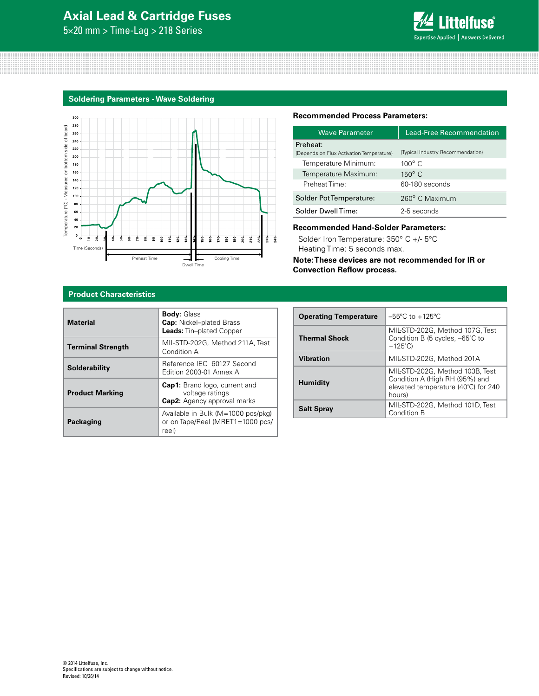# **Axial Lead & Cartridge Fuses**

5×20 mm > Time-Lag > 218 Series



#### **Soldering Parameters - Wave Soldering**



#### **Recommended Process Parameters:**

| <b>Wave Parameter</b>                    | <b>Lead-Free Recommendation</b>   |  |  |  |
|------------------------------------------|-----------------------------------|--|--|--|
| Preheat:                                 |                                   |  |  |  |
| (Depends on Flux Activation Temperature) | (Typical Industry Recommendation) |  |  |  |
| Temperature Minimum:                     | $100^{\circ}$ C                   |  |  |  |
| Temperature Maximum:                     | $150^\circ$ C                     |  |  |  |
| Preheat Time:                            | 60-180 seconds                    |  |  |  |
| Solder Pot Temperature:                  | 260° C Maximum                    |  |  |  |
| Solder DwellTime:                        | 2-5 seconds                       |  |  |  |

#### **Recommended Hand-Solder Parameters:**

Solder Iron Temperature: 350° C +/- 5°C Heating Time: 5 seconds max.

**Note: These devices are not recommended for IR or Convection Reflow process.**

### **Product Characteristics**

| <b>Material</b>          | <b>Body: Glass</b><br><b>Cap:</b> Nickel-plated Brass<br><b>Leads:</b> Tin-plated Copper      |  |  |
|--------------------------|-----------------------------------------------------------------------------------------------|--|--|
| <b>Terminal Strength</b> | MIL-STD-202G, Method 211A, Test<br>Condition A                                                |  |  |
| Solderability            | Reference IEC 60127 Second<br>Edition 2003-01 Annex A                                         |  |  |
| <b>Product Marking</b>   | <b>Cap1:</b> Brand logo, current and<br>voltage ratings<br><b>Cap2:</b> Agency approval marks |  |  |
| <b>Packaging</b>         | Available in Bulk (M=1000 pcs/pkg)<br>or on Tape/Reel (MRET1=1000 pcs/<br>reel)               |  |  |

| <b>Operating Temperature</b> | $-55^{\circ}$ C to $+125^{\circ}$ C                                                                                |
|------------------------------|--------------------------------------------------------------------------------------------------------------------|
| <b>Thermal Shock</b>         | MIL-STD-202G, Method 107G, Test<br>Condition B (5 cycles, -65°C to<br>$+125^{\circ}$ C)                            |
| <b>Vibration</b>             | MIL-STD-202G, Method 201A                                                                                          |
| <b>Humidity</b>              | MIL-STD-202G, Method 103B, Test<br>Condition A (High RH (95%) and<br>elevated temperature (40°C) for 240<br>hours) |
| <b>Salt Spray</b>            | MIL-STD-202G, Method 101D, Test<br>Condition B                                                                     |